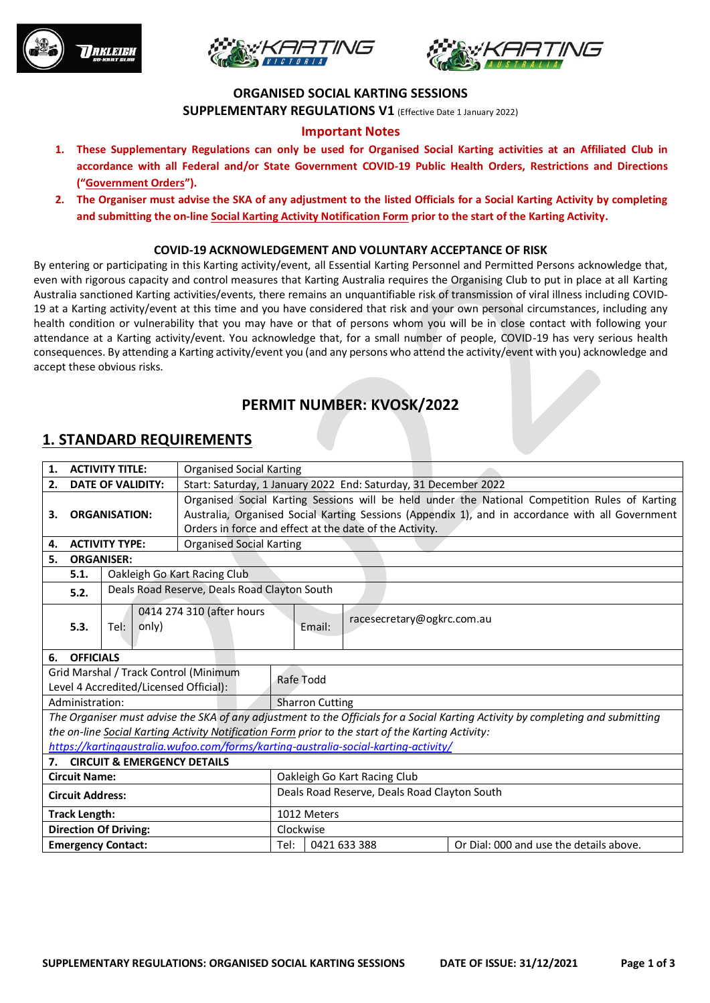





#### **ORGANISED SOCIAL KARTING SESSIONS**

**SUPPLEMENTARY REGULATIONS V1** (Effective Date 1 January 2022)

#### **Important Notes**

- **1. These Supplementary Regulations can only be used for Organised Social Karting activities at an Affiliated Club in accordance with all Federal and/or State Government COVID-19 Public Health Orders, Restrictions and Directions ("Government Orders").**
- **2. The Organiser must advise the SKA of any adjustment to the listed Officials for a Social Karting Activity by completing and submitting the on-line Social Karting Activity Notification Form prior to the start of the Karting Activity.**

#### **COVID-19 ACKNOWLEDGEMENT AND VOLUNTARY ACCEPTANCE OF RISK**

By entering or participating in this Karting activity/event, all Essential Karting Personnel and Permitted Persons acknowledge that, even with rigorous capacity and control measures that Karting Australia requires the Organising Club to put in place at all Karting Australia sanctioned Karting activities/events, there remains an unquantifiable risk of transmission of viral illness including COVID-19 at a Karting activity/event at this time and you have considered that risk and your own personal circumstances, including any health condition or vulnerability that you may have or that of persons whom you will be in close contact with following your attendance at a Karting activity/event. You acknowledge that, for a small number of people, COVID-19 has very serious health consequences. By attending a Karting activity/event you (and any persons who attend the activity/event with you) acknowledge and accept these obvious risks.

## **PERMIT NUMBER: KVOSK/2022**

## **1. STANDARD REQUIREMENTS**

| <b>ACTIVITY TITLE:</b><br>1.          |                                                      |                                        | <b>Organised Social Karting</b>                                                                  |                                                                                                |                                                                                                   |                                                                                                                                 |  |  |
|---------------------------------------|------------------------------------------------------|----------------------------------------|--------------------------------------------------------------------------------------------------|------------------------------------------------------------------------------------------------|---------------------------------------------------------------------------------------------------|---------------------------------------------------------------------------------------------------------------------------------|--|--|
| <b>DATE OF VALIDITY:</b><br>2.        |                                                      |                                        |                                                                                                  | Start: Saturday, 1 January 2022 End: Saturday, 31 December 2022                                |                                                                                                   |                                                                                                                                 |  |  |
|                                       |                                                      |                                        |                                                                                                  | Organised Social Karting Sessions will be held under the National Competition Rules of Karting |                                                                                                   |                                                                                                                                 |  |  |
| <b>ORGANISATION:</b><br>З.            |                                                      |                                        | Australia, Organised Social Karting Sessions (Appendix 1), and in accordance with all Government |                                                                                                |                                                                                                   |                                                                                                                                 |  |  |
|                                       |                                                      |                                        | Orders in force and effect at the date of the Activity.                                          |                                                                                                |                                                                                                   |                                                                                                                                 |  |  |
| <b>ACTIVITY TYPE:</b><br>4.           |                                                      |                                        | <b>Organised Social Karting</b>                                                                  |                                                                                                |                                                                                                   |                                                                                                                                 |  |  |
| 5.<br><b>ORGANISER:</b>               |                                                      |                                        |                                                                                                  |                                                                                                |                                                                                                   |                                                                                                                                 |  |  |
|                                       | 5.1.<br>Oakleigh Go Kart Racing Club                 |                                        |                                                                                                  |                                                                                                |                                                                                                   |                                                                                                                                 |  |  |
|                                       | Deals Road Reserve, Deals Road Clayton South<br>5.2. |                                        |                                                                                                  |                                                                                                |                                                                                                   |                                                                                                                                 |  |  |
|                                       | 5.3.                                                 | only)<br>Tel:                          | 0414 274 310 (after hours                                                                        |                                                                                                | racesecretary@ogkrc.com.au<br>Email:                                                              |                                                                                                                                 |  |  |
| 6.                                    | <b>OFFICIALS</b>                                     |                                        |                                                                                                  |                                                                                                |                                                                                                   |                                                                                                                                 |  |  |
| Grid Marshal / Track Control (Minimum |                                                      |                                        |                                                                                                  | Rafe Todd                                                                                      |                                                                                                   |                                                                                                                                 |  |  |
|                                       |                                                      | Level 4 Accredited/Licensed Official): |                                                                                                  |                                                                                                |                                                                                                   |                                                                                                                                 |  |  |
|                                       | Administration:                                      |                                        |                                                                                                  |                                                                                                | <b>Sharron Cutting</b>                                                                            |                                                                                                                                 |  |  |
|                                       |                                                      |                                        |                                                                                                  |                                                                                                |                                                                                                   | The Organiser must advise the SKA of any adjustment to the Officials for a Social Karting Activity by completing and submitting |  |  |
|                                       |                                                      |                                        |                                                                                                  |                                                                                                | the on-line Social Karting Activity Notification Form prior to the start of the Karting Activity: |                                                                                                                                 |  |  |
|                                       |                                                      |                                        |                                                                                                  |                                                                                                | https://kartingaustralia.wufoo.com/forms/karting-australia-social-karting-activity/               |                                                                                                                                 |  |  |
|                                       |                                                      | 7. CIRCUIT & EMERGENCY DETAILS         |                                                                                                  |                                                                                                |                                                                                                   |                                                                                                                                 |  |  |
| <b>Circuit Name:</b>                  |                                                      |                                        |                                                                                                  | Oakleigh Go Kart Racing Club                                                                   |                                                                                                   |                                                                                                                                 |  |  |
| <b>Circuit Address:</b>               |                                                      |                                        |                                                                                                  | Deals Road Reserve, Deals Road Clayton South                                                   |                                                                                                   |                                                                                                                                 |  |  |
| <b>Track Length:</b>                  |                                                      |                                        |                                                                                                  | 1012 Meters                                                                                    |                                                                                                   |                                                                                                                                 |  |  |
| <b>Direction Of Driving:</b>          |                                                      |                                        |                                                                                                  | Clockwise                                                                                      |                                                                                                   |                                                                                                                                 |  |  |
| <b>Emergency Contact:</b>             |                                                      |                                        | Tel:                                                                                             | 0421 633 388                                                                                   | Or Dial: 000 and use the details above.                                                           |                                                                                                                                 |  |  |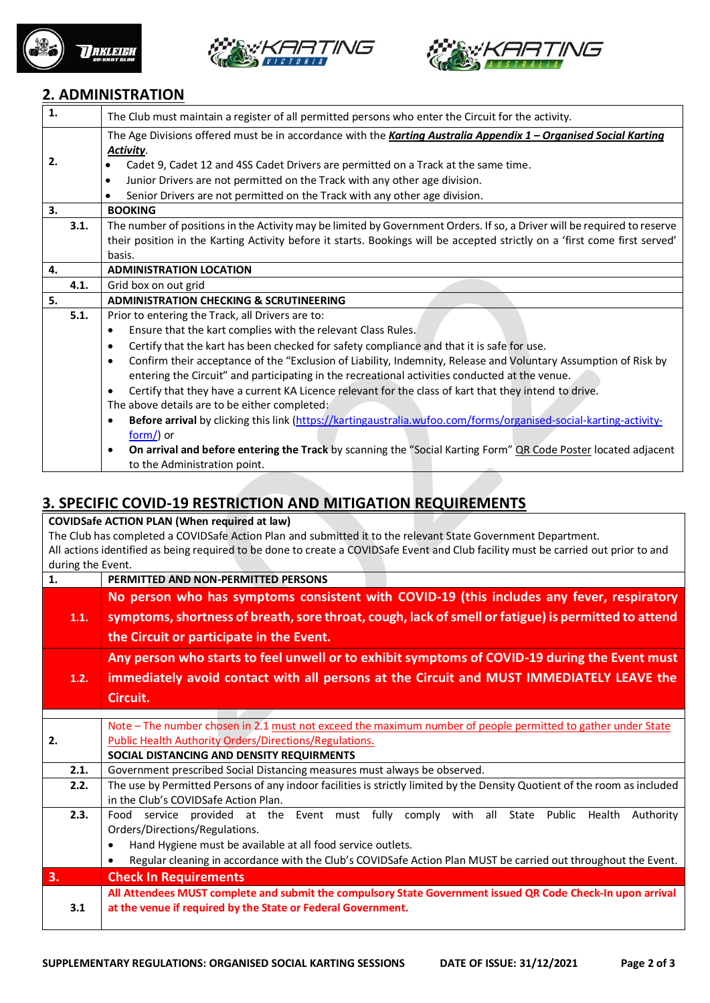





## **2. ADMINISTRATION**

| $\mathbf{1}$ . | The Club must maintain a register of all permitted persons who enter the Circuit for the activity.                            |  |  |  |
|----------------|-------------------------------------------------------------------------------------------------------------------------------|--|--|--|
|                | The Age Divisions offered must be in accordance with the Karting Australia Appendix 1 - Organised Social Karting<br>Activity. |  |  |  |
| 2.             | Cadet 9, Cadet 12 and 4SS Cadet Drivers are permitted on a Track at the same time.<br>$\bullet$                               |  |  |  |
|                | Junior Drivers are not permitted on the Track with any other age division.<br>$\bullet$                                       |  |  |  |
|                | Senior Drivers are not permitted on the Track with any other age division.<br>٠                                               |  |  |  |
| 3.             | <b>BOOKING</b>                                                                                                                |  |  |  |
| 3.1.           | The number of positions in the Activity may be limited by Government Orders. If so, a Driver will be required to reserve      |  |  |  |
|                | their position in the Karting Activity before it starts. Bookings will be accepted strictly on a 'first come first served'    |  |  |  |
|                | basis.                                                                                                                        |  |  |  |
| 4.             | <b>ADMINISTRATION LOCATION</b>                                                                                                |  |  |  |
| 4.1.           | Grid box on out grid                                                                                                          |  |  |  |
| 5.             | <b>ADMINISTRATION CHECKING &amp; SCRUTINEERING</b>                                                                            |  |  |  |
| 5.1.           | Prior to entering the Track, all Drivers are to:                                                                              |  |  |  |
|                | Ensure that the kart complies with the relevant Class Rules.<br>$\bullet$                                                     |  |  |  |
|                | Certify that the kart has been checked for safety compliance and that it is safe for use.<br>$\bullet$                        |  |  |  |
|                | Confirm their acceptance of the "Exclusion of Liability, Indemnity, Release and Voluntary Assumption of Risk by               |  |  |  |
|                | entering the Circuit" and participating in the recreational activities conducted at the venue.                                |  |  |  |
|                | Certify that they have a current KA Licence relevant for the class of kart that they intend to drive.                         |  |  |  |
|                | The above details are to be either completed;                                                                                 |  |  |  |
|                | Before arrival by clicking this link (https://kartingaustralia.wufoo.com/forms/organised-social-karting-activity-             |  |  |  |
|                | $form()$ or                                                                                                                   |  |  |  |
|                | On arrival and before entering the Track by scanning the "Social Karting Form" QR Code Poster located adjacent<br>$\bullet$   |  |  |  |
|                | to the Administration point.                                                                                                  |  |  |  |

## **3. SPECIFIC COVID-19 RESTRICTION AND MITIGATION REQUIREMENTS**

**COVIDSafe ACTION PLAN (When required at law)** The Club has completed a COVIDSafe Action Plan and submitted it to the relevant State Government Department. All actions identified as being required to be done to create a COVIDSafe Event and Club facility must be carried out prior to and during the Event.

| 1.   | PERMITTED AND NON-PERMITTED PERSONS                                                                                       |  |  |  |  |  |
|------|---------------------------------------------------------------------------------------------------------------------------|--|--|--|--|--|
|      | No person who has symptoms consistent with COVID-19 (this includes any fever, respiratory                                 |  |  |  |  |  |
| 1.1. | symptoms, shortness of breath, sore throat, cough, lack of smell or fatigue) is permitted to attend                       |  |  |  |  |  |
|      | the Circuit or participate in the Event.                                                                                  |  |  |  |  |  |
|      |                                                                                                                           |  |  |  |  |  |
|      | Any person who starts to feel unwell or to exhibit symptoms of COVID-19 during the Event must                             |  |  |  |  |  |
| 1.2. | immediately avoid contact with all persons at the Circuit and MUST IMMEDIATELY LEAVE the                                  |  |  |  |  |  |
|      | Circuit.                                                                                                                  |  |  |  |  |  |
|      |                                                                                                                           |  |  |  |  |  |
|      | Note - The number chosen in 2.1 must not exceed the maximum number of people permitted to gather under State              |  |  |  |  |  |
| 2.   | Public Health Authority Orders/Directions/Regulations.                                                                    |  |  |  |  |  |
|      | SOCIAL DISTANCING AND DENSITY REQUIRMENTS                                                                                 |  |  |  |  |  |
| 2.1. | Government prescribed Social Distancing measures must always be observed.                                                 |  |  |  |  |  |
| 2.2. | The use by Permitted Persons of any indoor facilities is strictly limited by the Density Quotient of the room as included |  |  |  |  |  |
|      | in the Club's COVIDSafe Action Plan.                                                                                      |  |  |  |  |  |
| 2.3. | service provided at the Event must fully comply with all State Public<br>Food<br>Health<br>Authority                      |  |  |  |  |  |
|      | Orders/Directions/Regulations.                                                                                            |  |  |  |  |  |
|      | Hand Hygiene must be available at all food service outlets.<br>$\bullet$                                                  |  |  |  |  |  |
|      | Regular cleaning in accordance with the Club's COVIDSafe Action Plan MUST be carried out throughout the Event.<br>٠       |  |  |  |  |  |
| 3.   | <b>Check In Requirements</b>                                                                                              |  |  |  |  |  |
|      | All Attendees MUST complete and submit the compulsory State Government issued QR Code Check-In upon arrival               |  |  |  |  |  |
| 3.1  | at the venue if required by the State or Federal Government.                                                              |  |  |  |  |  |
|      |                                                                                                                           |  |  |  |  |  |